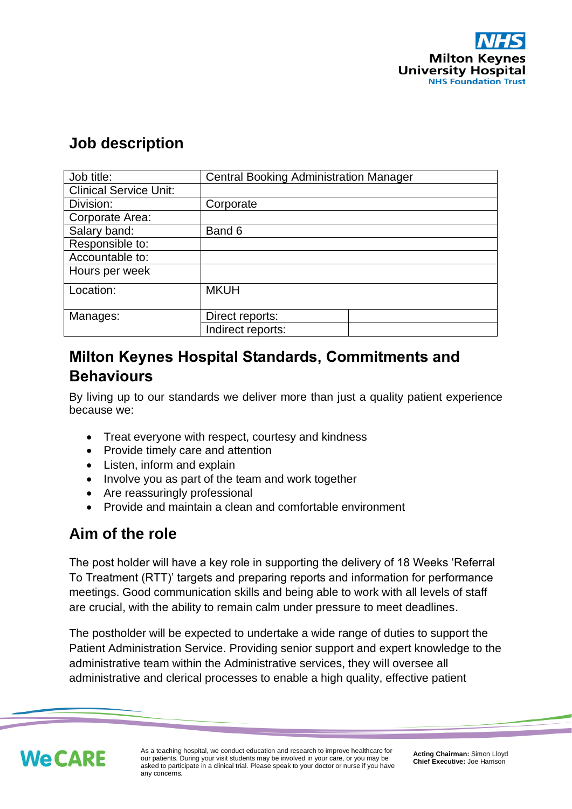

### **Job description**

| Job title:                    | <b>Central Booking Administration Manager</b> |
|-------------------------------|-----------------------------------------------|
| <b>Clinical Service Unit:</b> |                                               |
| Division:                     | Corporate                                     |
| Corporate Area:               |                                               |
| Salary band:                  | Band 6                                        |
| Responsible to:               |                                               |
| Accountable to:               |                                               |
| Hours per week                |                                               |
| Location:                     | <b>MKUH</b>                                   |
| Manages:                      | Direct reports:                               |
|                               | Indirect reports:                             |

# **Milton Keynes Hospital Standards, Commitments and Behaviours**

By living up to our standards we deliver more than just a quality patient experience because we:

- Treat everyone with respect, courtesy and kindness
- Provide timely care and attention
- Listen, inform and explain
- Involve you as part of the team and work together
- Are reassuringly professional
- Provide and maintain a clean and comfortable environment

# **Aim of the role**

The post holder will have a key role in supporting the delivery of 18 Weeks 'Referral To Treatment (RTT)' targets and preparing reports and information for performance meetings. Good communication skills and being able to work with all levels of staff are crucial, with the ability to remain calm under pressure to meet deadlines.

The postholder will be expected to undertake a wide range of duties to support the Patient Administration Service. Providing senior support and expert knowledge to the administrative team within the Administrative services, they will oversee all administrative and clerical processes to enable a high quality, effective patient

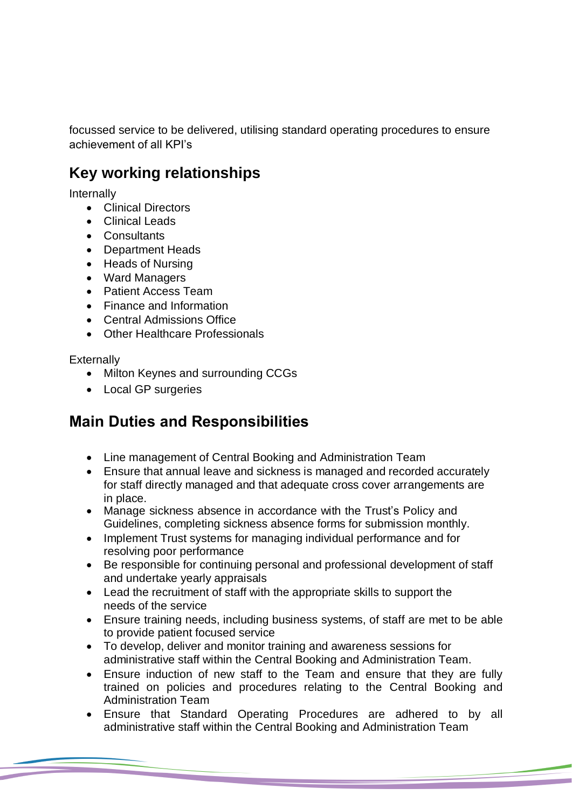focussed service to be delivered, utilising standard operating procedures to ensure achievement of all KPI's

# **Key working relationships**

Internally

- Clinical Directors
- Clinical Leads
- Consultants
- Department Heads
- Heads of Nursing
- Ward Managers
- Patient Access Team
- Finance and Information
- Central Admissions Office
- Other Healthcare Professionals

**Externally** 

- Milton Keynes and surrounding CCGs
- Local GP surgeries

# **Main Duties and Responsibilities**

- Line management of Central Booking and Administration Team
- Ensure that annual leave and sickness is managed and recorded accurately for staff directly managed and that adequate cross cover arrangements are in place.
- Manage sickness absence in accordance with the Trust's Policy and Guidelines, completing sickness absence forms for submission monthly.
- Implement Trust systems for managing individual performance and for resolving poor performance
- Be responsible for continuing personal and professional development of staff and undertake yearly appraisals
- Lead the recruitment of staff with the appropriate skills to support the needs of the service
- Ensure training needs, including business systems, of staff are met to be able to provide patient focused service
- To develop, deliver and monitor training and awareness sessions for administrative staff within the Central Booking and Administration Team.
- Ensure induction of new staff to the Team and ensure that they are fully trained on policies and procedures relating to the Central Booking and Administration Team
- Ensure that Standard Operating Procedures are adhered to by all administrative staff within the Central Booking and Administration Team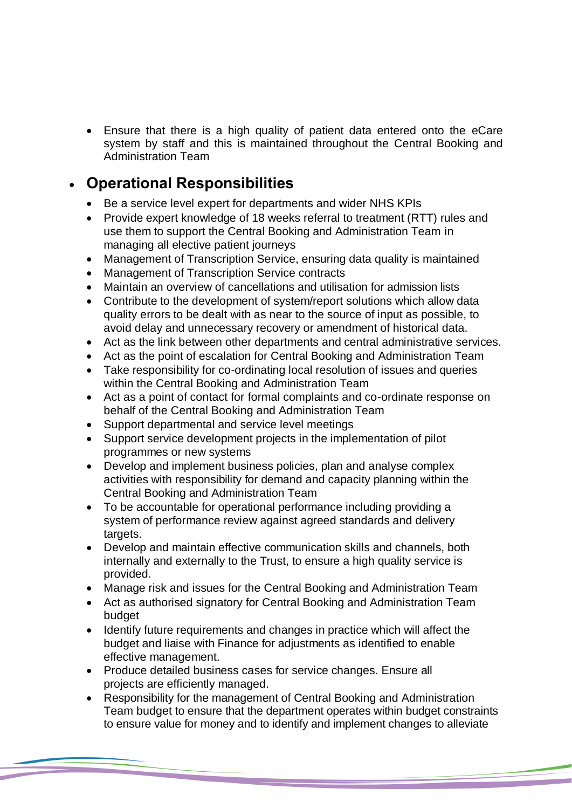• Ensure that there is a high quality of patient data entered onto the eCare system by staff and this is maintained throughout the Central Booking and Administration Team

# • **Operational Responsibilities**

- Be a service level expert for departments and wider NHS KPIs
- Provide expert knowledge of 18 weeks referral to treatment (RTT) rules and use them to support the Central Booking and Administration Team in managing all elective patient journeys
- Management of Transcription Service, ensuring data quality is maintained
- Management of Transcription Service contracts
- Maintain an overview of cancellations and utilisation for admission lists
- Contribute to the development of system/report solutions which allow data quality errors to be dealt with as near to the source of input as possible, to avoid delay and unnecessary recovery or amendment of historical data.
- Act as the link between other departments and central administrative services.
- Act as the point of escalation for Central Booking and Administration Team
- Take responsibility for co-ordinating local resolution of issues and queries within the Central Booking and Administration Team
- Act as a point of contact for formal complaints and co-ordinate response on behalf of the Central Booking and Administration Team
- Support departmental and service level meetings
- Support service development projects in the implementation of pilot programmes or new systems
- Develop and implement business policies, plan and analyse complex activities with responsibility for demand and capacity planning within the Central Booking and Administration Team
- To be accountable for operational performance including providing a system of performance review against agreed standards and delivery targets.
- Develop and maintain effective communication skills and channels, both internally and externally to the Trust, to ensure a high quality service is provided.
- Manage risk and issues for the Central Booking and Administration Team
- Act as authorised signatory for Central Booking and Administration Team budget
- Identify future requirements and changes in practice which will affect the budget and liaise with Finance for adjustments as identified to enable effective management.
- Produce detailed business cases for service changes. Ensure all projects are efficiently managed.
- Responsibility for the management of Central Booking and Administration Team budget to ensure that the department operates within budget constraints to ensure value for money and to identify and implement changes to alleviate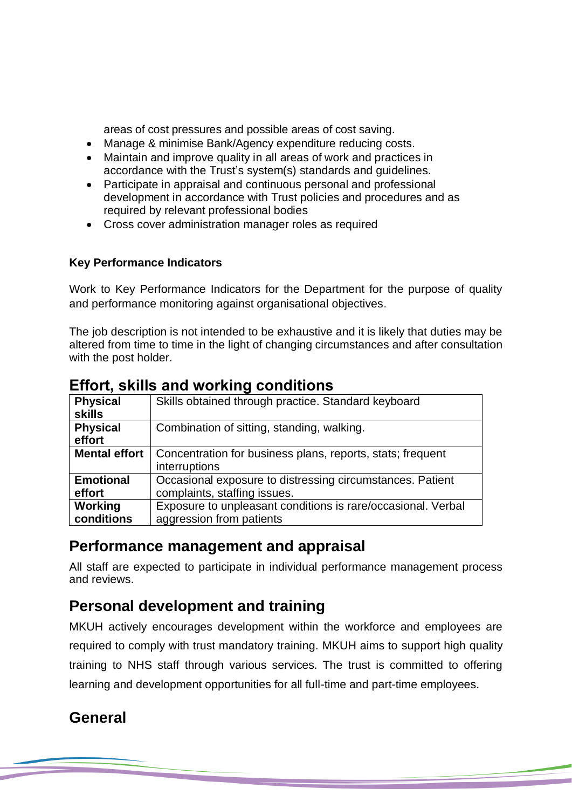areas of cost pressures and possible areas of cost saving.

- Manage & minimise Bank/Agency expenditure reducing costs.
- Maintain and improve quality in all areas of work and practices in accordance with the Trust's system(s) standards and guidelines.
- Participate in appraisal and continuous personal and professional development in accordance with Trust policies and procedures and as required by relevant professional bodies
- Cross cover administration manager roles as required

#### **Key Performance Indicators**

Work to Key Performance Indicators for the Department for the purpose of quality and performance monitoring against organisational objectives.

The job description is not intended to be exhaustive and it is likely that duties may be altered from time to time in the light of changing circumstances and after consultation with the post holder.

| <b>Physical</b>      | Skills obtained through practice. Standard keyboard          |
|----------------------|--------------------------------------------------------------|
| <b>skills</b>        |                                                              |
| <b>Physical</b>      | Combination of sitting, standing, walking.                   |
| effort               |                                                              |
| <b>Mental effort</b> | Concentration for business plans, reports, stats; frequent   |
|                      | interruptions                                                |
| <b>Emotional</b>     | Occasional exposure to distressing circumstances. Patient    |
| effort               | complaints, staffing issues.                                 |
| Working              | Exposure to unpleasant conditions is rare/occasional. Verbal |
| conditions           | aggression from patients                                     |

### **Effort, skills and working conditions**

### **Performance management and appraisal**

All staff are expected to participate in individual performance management process and reviews.

# **Personal development and training**

MKUH actively encourages development within the workforce and employees are required to comply with trust mandatory training. MKUH aims to support high quality training to NHS staff through various services. The trust is committed to offering learning and development opportunities for all full-time and part-time employees.

# **General**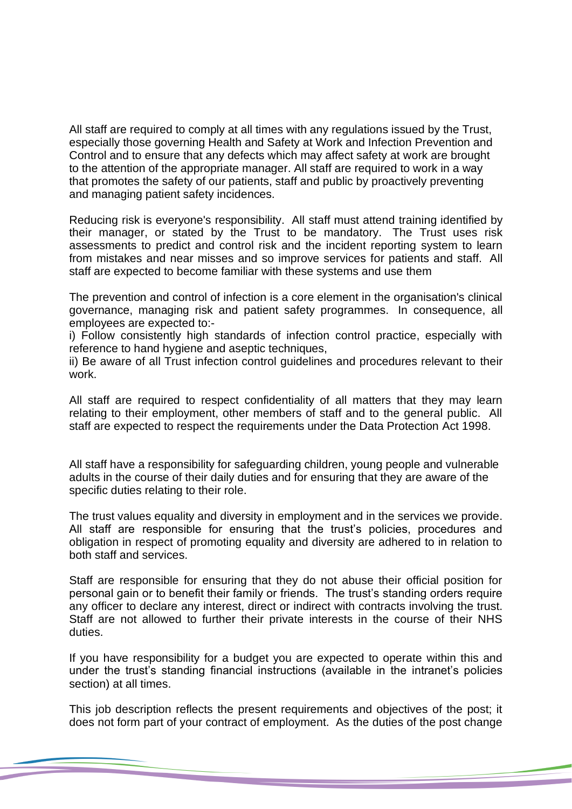All staff are required to comply at all times with any regulations issued by the Trust, especially those governing Health and Safety at Work and Infection Prevention and Control and to ensure that any defects which may affect safety at work are brought to the attention of the appropriate manager. All staff are required to work in a way that promotes the safety of our patients, staff and public by proactively preventing and managing patient safety incidences.

Reducing risk is everyone's responsibility. All staff must attend training identified by their manager, or stated by the Trust to be mandatory. The Trust uses risk assessments to predict and control risk and the incident reporting system to learn from mistakes and near misses and so improve services for patients and staff. All staff are expected to become familiar with these systems and use them

The prevention and control of infection is a core element in the organisation's clinical governance, managing risk and patient safety programmes. In consequence, all employees are expected to:-

i) Follow consistently high standards of infection control practice, especially with reference to hand hygiene and aseptic techniques,

ii) Be aware of all Trust infection control guidelines and procedures relevant to their work.

All staff are required to respect confidentiality of all matters that they may learn relating to their employment, other members of staff and to the general public. All staff are expected to respect the requirements under the Data Protection Act 1998.

All staff have a responsibility for safeguarding children, young people and vulnerable adults in the course of their daily duties and for ensuring that they are aware of the specific duties relating to their role.

The trust values equality and diversity in employment and in the services we provide. All staff are responsible for ensuring that the trust's policies, procedures and obligation in respect of promoting equality and diversity are adhered to in relation to both staff and services.

Staff are responsible for ensuring that they do not abuse their official position for personal gain or to benefit their family or friends. The trust's standing orders require any officer to declare any interest, direct or indirect with contracts involving the trust. Staff are not allowed to further their private interests in the course of their NHS duties.

If you have responsibility for a budget you are expected to operate within this and under the trust's standing financial instructions (available in the intranet's policies section) at all times.

This job description reflects the present requirements and objectives of the post; it does not form part of your contract of employment. As the duties of the post change